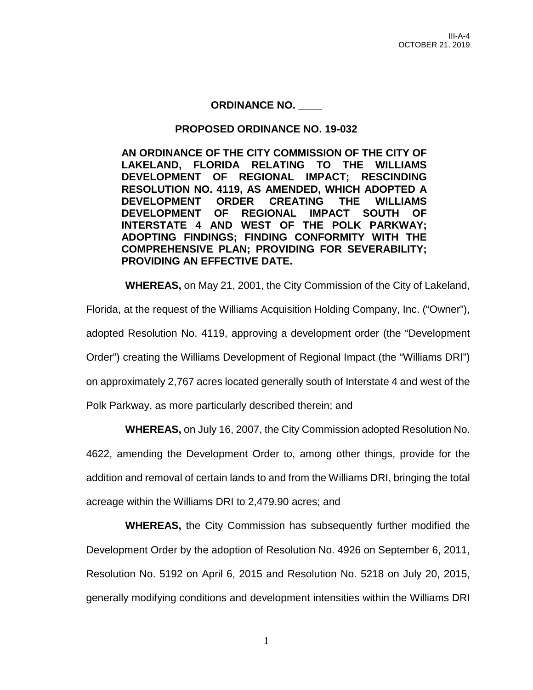## **ORDINANCE NO. \_\_\_\_**

## **PROPOSED ORDINANCE NO. 19-032**

**AN ORDINANCE OF THE CITY COMMISSION OF THE CITY OF LAKELAND, FLORIDA RELATING TO THE WILLIAMS DEVELOPMENT OF REGIONAL IMPACT; RESCINDING RESOLUTION NO. 4119, AS AMENDED, WHICH ADOPTED A DEVELOPMENT ORDER CREATING THE WILLIAMS DEVELOPMENT OF REGIONAL IMPACT SOUTH OF INTERSTATE 4 AND WEST OF THE POLK PARKWAY; ADOPTING FINDINGS; FINDING CONFORMITY WITH THE COMPREHENSIVE PLAN; PROVIDING FOR SEVERABILITY; PROVIDING AN EFFECTIVE DATE.**

**WHEREAS,** on May 21, 2001, the City Commission of the City of Lakeland,

Florida, at the request of the Williams Acquisition Holding Company, Inc. ("Owner"),

adopted Resolution No. 4119, approving a development order (the "Development

Order") creating the Williams Development of Regional Impact (the "Williams DRI")

on approximately 2,767 acres located generally south of Interstate 4 and west of the

Polk Parkway, as more particularly described therein; and

**WHEREAS,** on July 16, 2007, the City Commission adopted Resolution No.

4622, amending the Development Order to, among other things, provide for the addition and removal of certain lands to and from the Williams DRI, bringing the total acreage within the Williams DRI to 2,479.90 acres; and

**WHEREAS,** the City Commission has subsequently further modified the Development Order by the adoption of Resolution No. 4926 on September 6, 2011, Resolution No. 5192 on April 6, 2015 and Resolution No. 5218 on July 20, 2015, generally modifying conditions and development intensities within the Williams DRI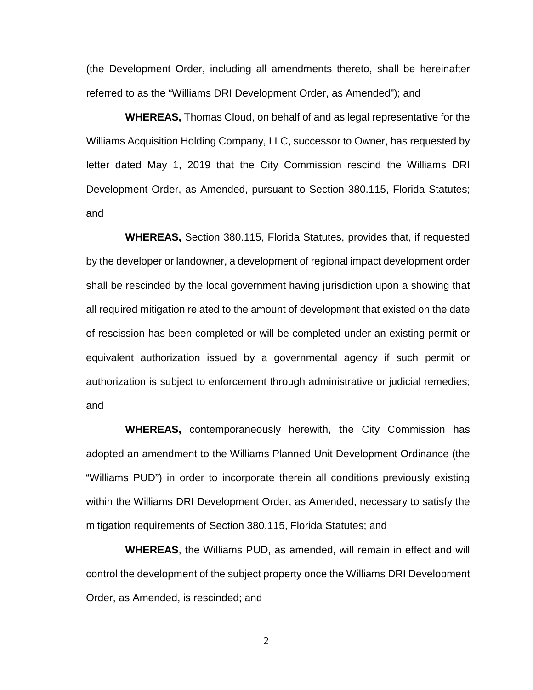(the Development Order, including all amendments thereto, shall be hereinafter referred to as the "Williams DRI Development Order, as Amended"); and

**WHEREAS,** Thomas Cloud, on behalf of and as legal representative for the Williams Acquisition Holding Company, LLC, successor to Owner, has requested by letter dated May 1, 2019 that the City Commission rescind the Williams DRI Development Order, as Amended, pursuant to Section 380.115, Florida Statutes; and

**WHEREAS,** Section 380.115, Florida Statutes, provides that, if requested by the developer or landowner, a development of regional impact development order shall be rescinded by the local government having jurisdiction upon a showing that all required mitigation related to the amount of development that existed on the date of rescission has been completed or will be completed under an existing permit or equivalent authorization issued by a governmental agency if such permit or authorization is subject to enforcement through administrative or judicial remedies; and

**WHEREAS,** contemporaneously herewith, the City Commission has adopted an amendment to the Williams Planned Unit Development Ordinance (the "Williams PUD") in order to incorporate therein all conditions previously existing within the Williams DRI Development Order, as Amended, necessary to satisfy the mitigation requirements of Section 380.115, Florida Statutes; and

**WHEREAS**, the Williams PUD, as amended, will remain in effect and will control the development of the subject property once the Williams DRI Development Order, as Amended, is rescinded; and

2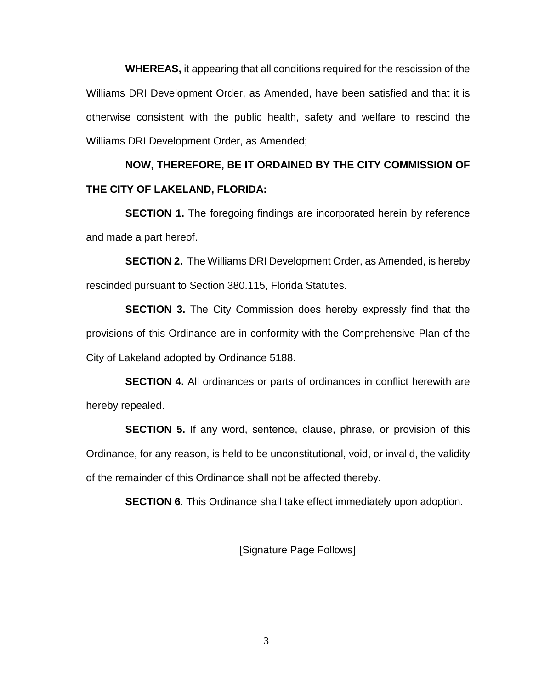**WHEREAS,** it appearing that all conditions required for the rescission of the Williams DRI Development Order, as Amended, have been satisfied and that it is otherwise consistent with the public health, safety and welfare to rescind the Williams DRI Development Order, as Amended;

## **NOW, THEREFORE, BE IT ORDAINED BY THE CITY COMMISSION OF THE CITY OF LAKELAND, FLORIDA:**

**SECTION 1.** The foregoing findings are incorporated herein by reference and made a part hereof.

**SECTION 2.** The Williams DRI Development Order, as Amended, is hereby rescinded pursuant to Section 380.115, Florida Statutes.

**SECTION 3.** The City Commission does hereby expressly find that the provisions of this Ordinance are in conformity with the Comprehensive Plan of the City of Lakeland adopted by Ordinance 5188.

**SECTION 4.** All ordinances or parts of ordinances in conflict herewith are hereby repealed.

**SECTION 5.** If any word, sentence, clause, phrase, or provision of this Ordinance, for any reason, is held to be unconstitutional, void, or invalid, the validity of the remainder of this Ordinance shall not be affected thereby.

**SECTION 6.** This Ordinance shall take effect immediately upon adoption.

[Signature Page Follows]